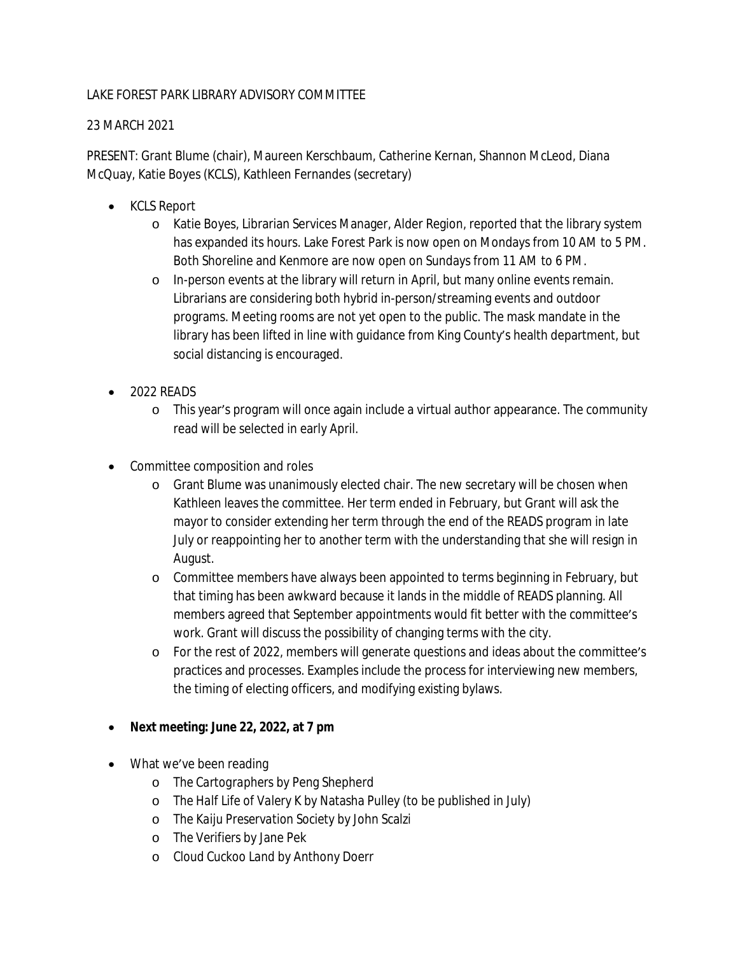## LAKE FOREST PARK LIBRARY ADVISORY COMMITTEE

## 23 MARCH 2021

PRESENT: Grant Blume (chair), Maureen Kerschbaum, Catherine Kernan, Shannon McLeod, Diana McQuay, Katie Boyes (KCLS), Kathleen Fernandes (secretary)

- KCLS Report
	- o Katie Boyes, Librarian Services Manager, Alder Region, reported that the library system has expanded its hours. Lake Forest Park is now open on Mondays from 10 AM to 5 PM. Both Shoreline and Kenmore are now open on Sundays from 11 AM to 6 PM.
	- o In-person events at the library will return in April, but many online events remain. Librarians are considering both hybrid in-person/streaming events and outdoor programs. Meeting rooms are not yet open to the public. The mask mandate in the library has been lifted in line with guidance from King County's health department, but social distancing is encouraged.
- 2022 READS
	- o This year's program will once again include a virtual author appearance. The community read will be selected in early April.
- Committee composition and roles
	- o Grant Blume was unanimously elected chair. The new secretary will be chosen when Kathleen leaves the committee. Her term ended in February, but Grant will ask the mayor to consider extending her term through the end of the READS program in late July or reappointing her to another term with the understanding that she will resign in August.
	- o Committee members have always been appointed to terms beginning in February, but that timing has been awkward because it lands in the middle of READS planning. All members agreed that September appointments would fit better with the committee's work. Grant will discuss the possibility of changing terms with the city.
	- o For the rest of 2022, members will generate questions and ideas about the committee's practices and processes. Examples include the process for interviewing new members, the timing of electing officers, and modifying existing bylaws.
- **Next meeting: June 22, 2022, at 7 pm**
- What we've been reading
	- o *The Cartographers* by Peng Shepherd
	- o *The Half Life of Valery K* by Natasha Pulley (to be published in July)
	- o *The Kaiju Preservation Society* by John Scalzi
	- o *The Verifiers* by Jane Pek
	- o *Cloud Cuckoo Land* by Anthony Doerr